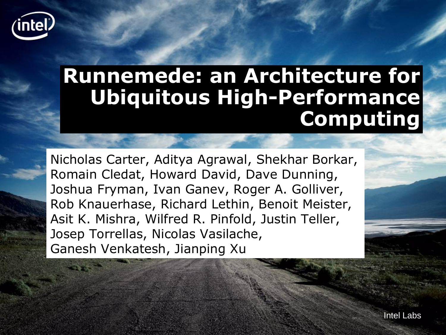

### **Runnemede: an Architecture for Ubiquitous High-Performance Computing**

Nicholas Carter, Aditya Agrawal, Shekhar Borkar, Romain Cledat, Howard David, Dave Dunning, Joshua Fryman, Ivan Ganev, Roger A. Golliver, Rob Knauerhase, Richard Lethin, Benoit Meister, Asit K. Mishra, Wilfred R. Pinfold, Justin Teller, Josep Torrellas, Nicolas Vasilache, Ganesh Venkatesh, Jianping Xu

Intel Labs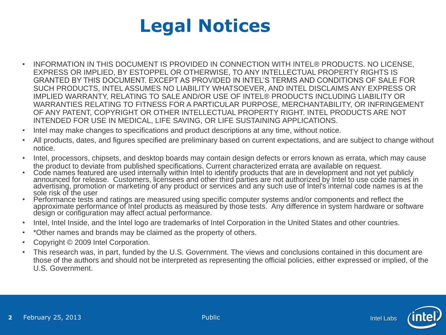

- INFORMATION IN THIS DOCUMENT IS PROVIDED IN CONNECTION WITH INTEL® PRODUCTS. NO LICENSE, EXPRESS OR IMPLIED, BY ESTOPPEL OR OTHERWISE, TO ANY INTELLECTUAL PROPERTY RIGHTS IS GRANTED BY THIS DOCUMENT. EXCEPT AS PROVIDED IN INTEL'S TERMS AND CONDITIONS OF SALE FOR SUCH PRODUCTS, INTEL ASSUMES NO LIABILITY WHATSOEVER, AND INTEL DISCLAIMS ANY EXPRESS OR IMPLIED WARRANTY, RELATING TO SALE AND/OR USE OF INTEL® PRODUCTS INCLUDING LIABILITY OR WARRANTIES RELATING TO FITNESS FOR A PARTICULAR PURPOSE, MERCHANTABILITY, OR INFRINGEMENT OF ANY PATENT, COPYRIGHT OR OTHER INTELLECTUAL PROPERTY RIGHT. INTEL PRODUCTS ARE NOT INTENDED FOR USE IN MEDICAL, LIFE SAVING, OR LIFE SUSTAINING APPLICATIONS.
- Intel may make changes to specifications and product descriptions at any time, without notice.
- All products, dates, and figures specified are preliminary based on current expectations, and are subject to change without notice.
- Intel, processors, chipsets, and desktop boards may contain design defects or errors known as errata, which may cause the product to deviate from published specifications. Current characterized errata are available on request.
- Code names featured are used internally within Intel to identify products that are in development and not yet publicly announced for release. Customers, licensees and other third parties are not authorized by Intel to use code names in advertising, promotion or marketing of any product or services and any such use of Intel's internal code names is at the sole risk of the user
- Performance tests and ratings are measured using specific computer systems and/or components and reflect the approximate performance of Intel products as measured by those tests. Any difference in system hardware or software design or configuration may affect actual performance.
- Intel, Intel Inside, and the Intel logo are trademarks of Intel Corporation in the United States and other countries.
- \*Other names and brands may be claimed as the property of others.
- Copyright © 2009 Intel Corporation.
- This research was, in part, funded by the U.S. Government. The views and conclusions contained in this document are those of the authors and should not be interpreted as representing the official policies, either expressed or implied, of the U.S. Government.



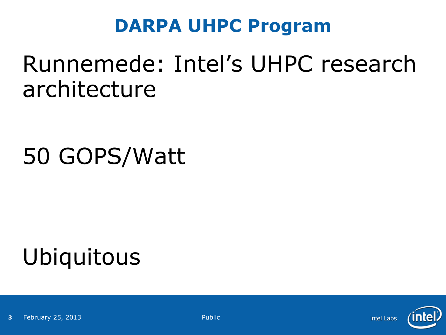#### **DARPA UHPC Program**

### Runnemede: Intel's UHPC research architecture

### 50 GOPS/Watt

## Ubiquitous

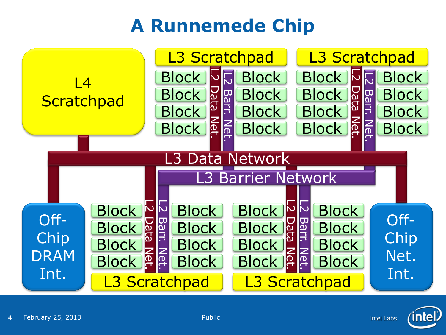### **A Runnemede Chip**



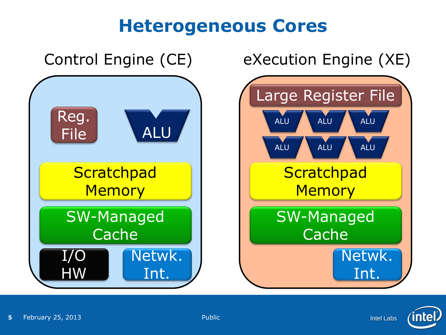#### **Heterogeneous Cores**



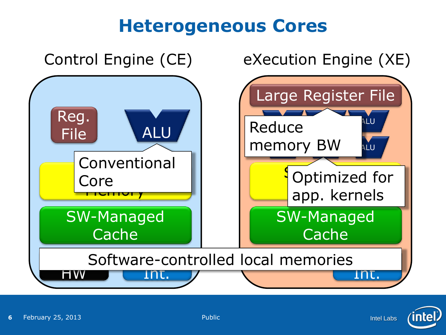#### **Heterogeneous Cores**



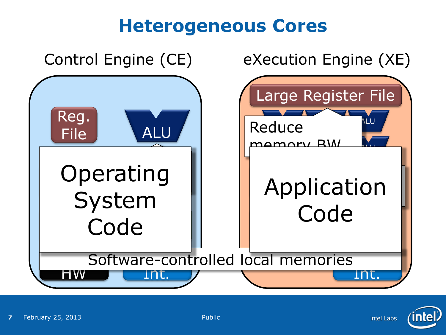#### **Heterogeneous Cores**



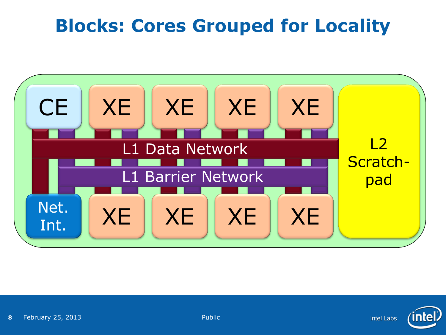### **Blocks: Cores Grouped for Locality**



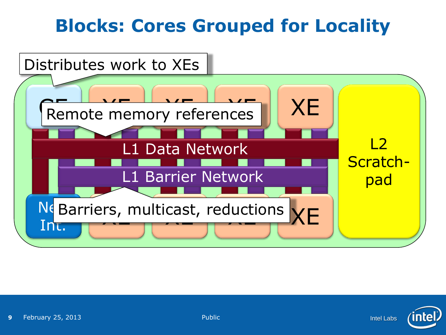### **Blocks: Cores Grouped for Locality**



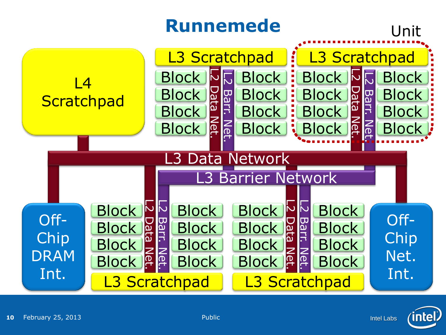

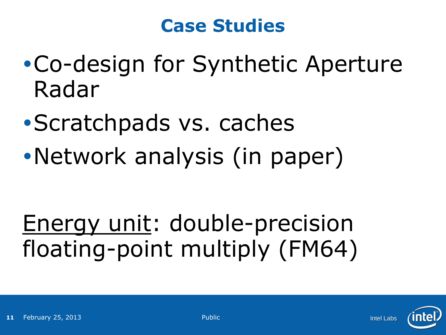#### **Case Studies**

- Co-design for Synthetic Aperture Radar
- Scratchpads vs. caches
- Network analysis (in paper)

### Energy unit: double-precision floating-point multiply (FM64)

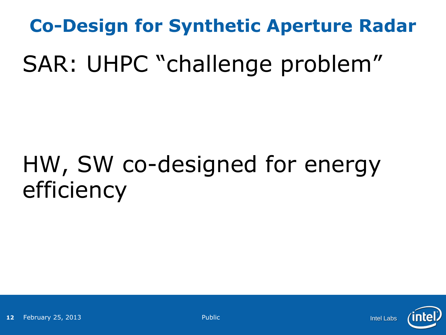# **Co-Design for Synthetic Aperture Radar** SAR: UHPC "challenge problem"

### HW, SW co-designed for energy efficiency

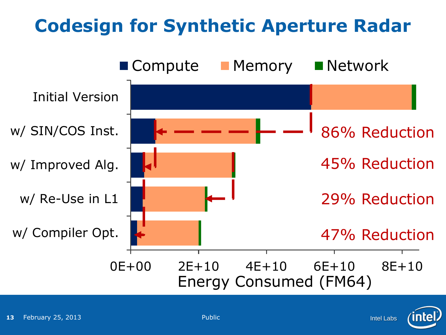### **Codesign for Synthetic Aperture Radar**



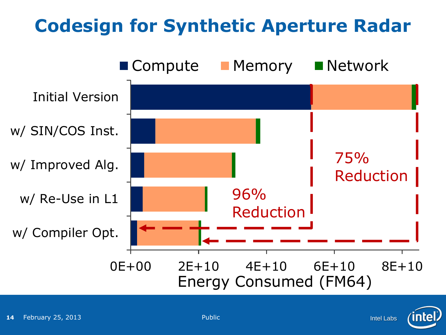### **Codesign for Synthetic Aperture Radar**



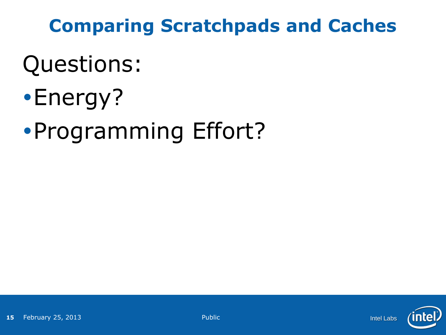### **Comparing Scratchpads and Caches**

### Questions:

- Energy?
- Programming Effort?

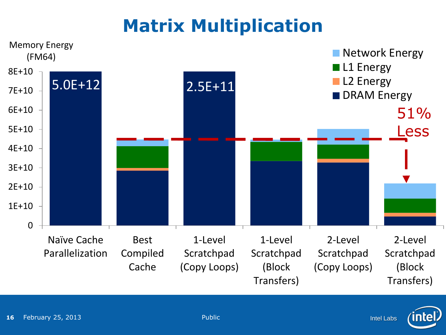### **Matrix Multiplication**



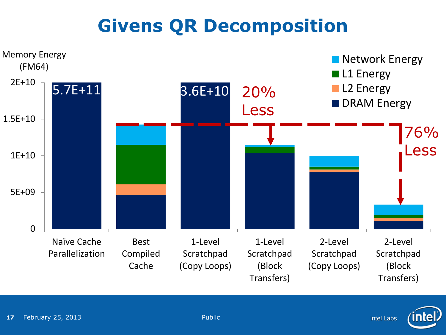### **Givens QR Decomposition**





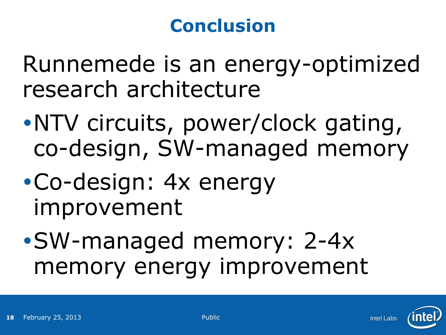### **Conclusion**

Runnemede is an energy-optimized research architecture

- NTV circuits, power/clock gating, co-design, SW-managed memory
- Co-design: 4x energy improvement
- SW-managed memory: 2-4x memory energy improvement